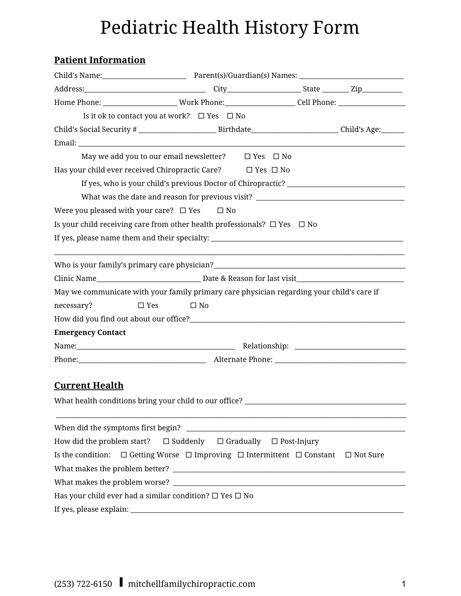# Pediatric Health History Form

## **Patient Information**

|                                                        | Home Phone: _______________________Work Phone: ______________________Cell Phone: ___________________              |  |
|--------------------------------------------------------|-------------------------------------------------------------------------------------------------------------------|--|
|                                                        | Is it ok to contact you at work? $\Box$ Yes $\Box$ No                                                             |  |
|                                                        | Child's Social Security # _________________________________Birthdate__________________________Child's Age:_______ |  |
|                                                        |                                                                                                                   |  |
|                                                        | May we add you to our email newsletter? □ Yes □ No                                                                |  |
|                                                        | Has your child ever received Chiropractic Care? □ Yes □ No                                                        |  |
|                                                        |                                                                                                                   |  |
|                                                        | What was the date and reason for previous visit? _______________________________                                  |  |
| Were you pleased with your care? $\Box$ Yes $\Box$ No  |                                                                                                                   |  |
|                                                        | Is your child receiving care from other health professionals? $\Box$ Yes $\Box$ No                                |  |
|                                                        |                                                                                                                   |  |
|                                                        |                                                                                                                   |  |
|                                                        |                                                                                                                   |  |
|                                                        | May we communicate with your family primary care physician regarding your child's care if                         |  |
| necessary?<br>$\square$ Yes                            | $\Box$ No                                                                                                         |  |
|                                                        |                                                                                                                   |  |
| <b>Emergency Contact</b>                               |                                                                                                                   |  |
|                                                        |                                                                                                                   |  |
|                                                        |                                                                                                                   |  |
| <b>Current Health</b>                                  |                                                                                                                   |  |
| What health conditions bring your child to our office? |                                                                                                                   |  |
|                                                        |                                                                                                                   |  |
| How did the problem start?                             | $\square$ Suddenly<br>$\Box$ Gradually $\Box$ Post-Injury                                                         |  |
|                                                        | Is the condition: $\Box$ Getting Worse $\Box$ Improving $\Box$ Intermittent $\Box$ Constant $\Box$ Not Sure       |  |
|                                                        |                                                                                                                   |  |
|                                                        |                                                                                                                   |  |
|                                                        | Has your child ever had a similar condition? $\square$ Yes $\square$ No                                           |  |
|                                                        |                                                                                                                   |  |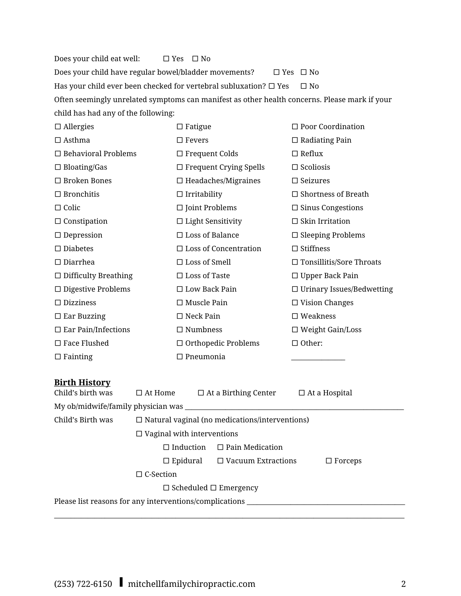Does your child eat well:  $\Box$  Yes  $\Box$  No Does your child have regular bowel/bladder movements? □ Yes □ No Has your child ever been checked for vertebral subluxation?  $\Box$  Yes  $\Box$  No Often seemingly unrelated symptoms can manifest as other health concerns. Please mark if your child has had any of the following:

| $\Box$ Allergies            | $\Box$ Fatigue                | $\Box$ Poor Coordination         |
|-----------------------------|-------------------------------|----------------------------------|
| $\Box$ Asthma               | $\square$ Fevers              | $\Box$ Radiating Pain            |
| $\Box$ Behavioral Problems  | $\Box$ Frequent Colds         | $\square$ Reflux                 |
| $\Box$ Bloating/Gas         | $\Box$ Frequent Crying Spells | $\Box$ Scoliosis                 |
| $\Box$ Broken Bones         | $\Box$ Headaches/Migraines    | $\Box$ Seizures                  |
| $\Box$ Bronchitis           | $\Box$ Irritability           | $\Box$ Shortness of Breath       |
| $\Box$ Colic                | $\Box$ Joint Problems         | $\Box$ Sinus Congestions         |
| $\Box$ Constipation         | $\Box$ Light Sensitivity      | $\Box$ Skin Irritation           |
| $\Box$ Depression           | $\square$ Loss of Balance     | $\Box$ Sleeping Problems         |
| $\square$ Diabetes          | $\Box$ Loss of Concentration  | $\Box$ Stiffness                 |
| $\Box$ Diarrhea             | $\Box$ Loss of Smell          | $\Box$ Tonsillitis/Sore Throats  |
| $\Box$ Difficulty Breathing | $\square$ Loss of Taste       | $\Box$ Upper Back Pain           |
| $\Box$ Digestive Problems   | $\square$ Low Back Pain       | $\Box$ Urinary Issues/Bedwetting |
| $\square$ Dizziness         | $\Box$ Muscle Pain            | $\Box$ Vision Changes            |
| $\Box$ Ear Buzzing          | $\square$ Neck Pain           | $\square$ Weakness               |
| $\Box$ Ear Pain/Infections  | $\Box$ Numbness               | $\Box$ Weight Gain/Loss          |
| $\square$ Face Flushed      | $\Box$ Orthopedic Problems    | $\Box$ Other:                    |
| $\Box$ Fainting             | $\Box$ Pneumonia              |                                  |

#### **Birth History**

| Child's birth was                                       | $\square$ At Home                                     |  | $\Box$ At a Birthing Center               |  | $\Box$ At a Hospital |
|---------------------------------------------------------|-------------------------------------------------------|--|-------------------------------------------|--|----------------------|
|                                                         |                                                       |  |                                           |  |                      |
| Child's Birth was                                       | $\Box$ Natural vaginal (no medications/interventions) |  |                                           |  |                      |
|                                                         | $\Box$ Vaginal with interventions                     |  |                                           |  |                      |
|                                                         | $\Box$ Induction                                      |  | $\Box$ Pain Medication                    |  |                      |
|                                                         |                                                       |  | $\Box$ Epidural $\Box$ Vacuum Extractions |  | $\Box$ Forceps       |
|                                                         | $\Box$ C-Section                                      |  |                                           |  |                      |
| $\Box$ Scheduled $\Box$ Emergency                       |                                                       |  |                                           |  |                      |
| Please list reasons for any interventions/complications |                                                       |  |                                           |  |                      |
|                                                         |                                                       |  |                                           |  |                      |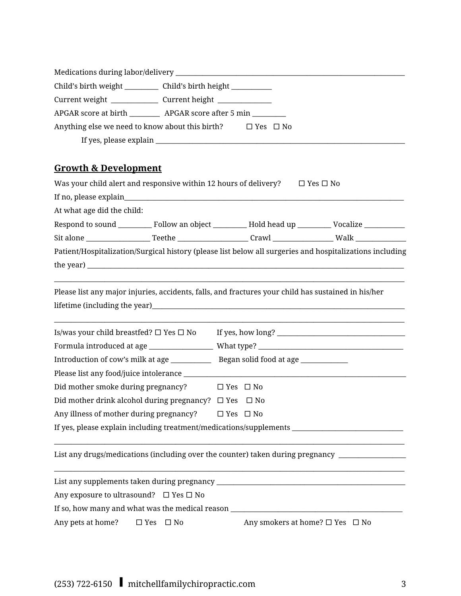|                                 | Child's birth weight _____________ Child's birth height _____________      |
|---------------------------------|----------------------------------------------------------------------------|
|                                 |                                                                            |
|                                 | APGAR score at birth __________ APGAR score after 5 min ________           |
|                                 | Anything else we need to know about this birth? $\square$ Yes $\square$ No |
|                                 |                                                                            |
|                                 |                                                                            |
| <b>Growth &amp; Development</b> |                                                                            |
|                                 |                                                                            |

| Was your child alert and responsive within 12 hours of delivery? |                                                                                                                                                                                                                                     | $\Box$ Yes $\Box$ No |  |  |
|------------------------------------------------------------------|-------------------------------------------------------------------------------------------------------------------------------------------------------------------------------------------------------------------------------------|----------------------|--|--|
|                                                                  |                                                                                                                                                                                                                                     |                      |  |  |
| At what age did the child:                                       |                                                                                                                                                                                                                                     |                      |  |  |
|                                                                  |                                                                                                                                                                                                                                     |                      |  |  |
|                                                                  |                                                                                                                                                                                                                                     |                      |  |  |
|                                                                  | Patient/Hospitalization/Surgical history (please list below all surgeries and hospitalizations including                                                                                                                            |                      |  |  |
|                                                                  | the year) <u>exactle</u> the search of the search of the search of the search of the search of the search of the search of the search of the search of the search of the search of the search of the search of the search of the se |                      |  |  |
|                                                                  | Please list any major injuries, accidents, falls, and fractures your child has sustained in his/her                                                                                                                                 |                      |  |  |
| Is/was your child breastfed? $\Box$ Yes $\Box$ No                |                                                                                                                                                                                                                                     |                      |  |  |
|                                                                  |                                                                                                                                                                                                                                     |                      |  |  |
|                                                                  |                                                                                                                                                                                                                                     |                      |  |  |
|                                                                  |                                                                                                                                                                                                                                     |                      |  |  |
| Did mother smoke during pregnancy?                               | $\square$ Yes $\square$ No                                                                                                                                                                                                          |                      |  |  |
| Did mother drink alcohol during pregnancy? $\Box$ Yes            | $\square$ No                                                                                                                                                                                                                        |                      |  |  |
| Any illness of mother during pregnancy?                          | $\Box$ Yes $\Box$ No                                                                                                                                                                                                                |                      |  |  |
|                                                                  | If yes, please explain including treatment/medications/supplements ________________________________                                                                                                                                 |                      |  |  |
|                                                                  | List any drugs/medications (including over the counter) taken during pregnancy ____________________                                                                                                                                 |                      |  |  |
|                                                                  |                                                                                                                                                                                                                                     |                      |  |  |
| Apy ovposure to ultracound? $\Box$ Vec $\Box$ No.                |                                                                                                                                                                                                                                     |                      |  |  |

Any exposure to ultrasound?  $\Box$  Yes  $\Box$  No

If so, how many and what was the medical reason  $\_\_$ 

Any pets at home? □ Yes □ No Any smokers at home? □ Yes □ No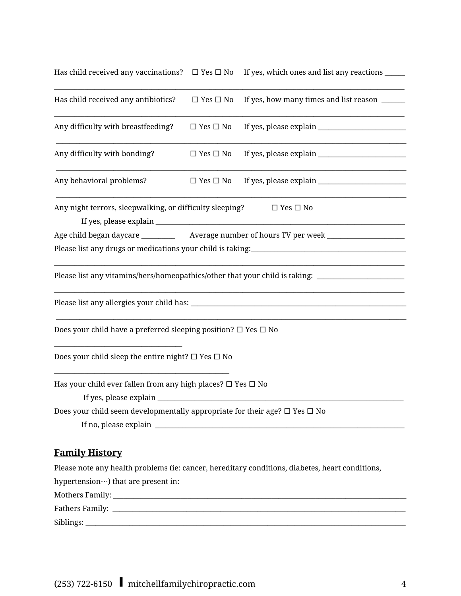|  | Has child received any vaccinations? $\quad \Box$ Yes $\Box$ No $\quad$ If yes, which ones and list any reactions $\Box$ |  |
|--|--------------------------------------------------------------------------------------------------------------------------|--|
|  |                                                                                                                          |  |

| Has child received any antibiotics?                                                        | $\Box$ Yes $\Box$ No | If yes, how many times and list reason _______                                                      |
|--------------------------------------------------------------------------------------------|----------------------|-----------------------------------------------------------------------------------------------------|
| Any difficulty with breastfeeding?                                                         | $\Box$ Yes $\Box$ No |                                                                                                     |
| Any difficulty with bonding?                                                               | $\Box$ Yes $\Box$ No |                                                                                                     |
| Any behavioral problems?                                                                   | $\Box$ Yes $\Box$ No |                                                                                                     |
| Any night terrors, sleepwalking, or difficulty sleeping?                                   |                      | $\Box$ Yes $\Box$ No                                                                                |
|                                                                                            |                      |                                                                                                     |
|                                                                                            |                      |                                                                                                     |
|                                                                                            |                      |                                                                                                     |
|                                                                                            |                      | Please list any vitamins/hers/homeopathics/other that your child is taking: _______________________ |
|                                                                                            |                      |                                                                                                     |
| Does your child have a preferred sleeping position? $\Box$ Yes $\Box$ No                   |                      |                                                                                                     |
| Does your child sleep the entire night? $\square$ Yes $\square$ No                         |                      |                                                                                                     |
| Has your child ever fallen from any high places? $\Box$ Yes $\Box$ No                      |                      |                                                                                                     |
|                                                                                            |                      |                                                                                                     |
| Does your child seem developmentally appropriate for their age? $\square$ Yes $\square$ No |                      |                                                                                                     |

# **Family History**

| Please note any health problems (ie: cancer, hereditary conditions, diabetes, heart conditions, |
|-------------------------------------------------------------------------------------------------|
| hypertension $\cdots$ ) that are present in:                                                    |
|                                                                                                 |
|                                                                                                 |
|                                                                                                 |